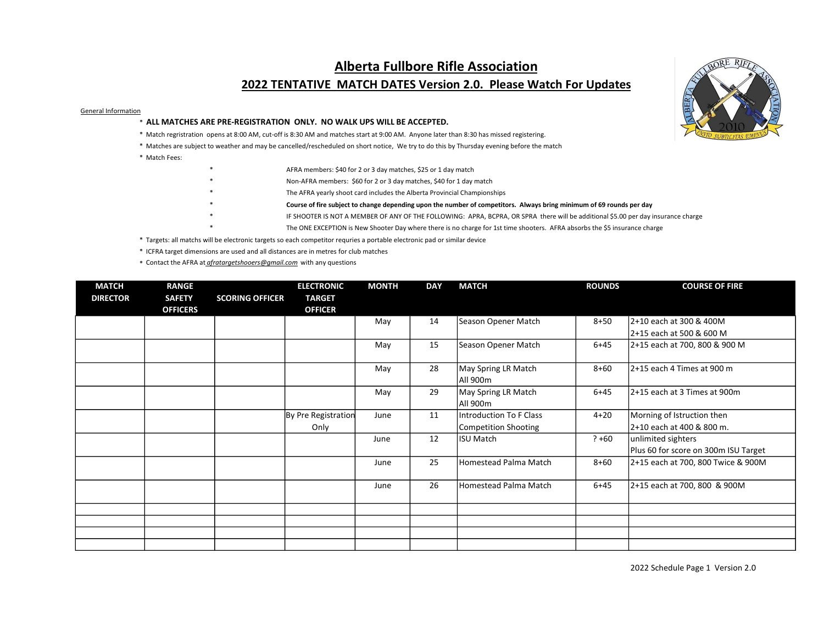## Alberta Fullbore Rifle Association

## 2022 TENTATIVE MATCH DATES Version 2.0. Please Watch For Updates

## General Information

- \* ALL MATCHES ARE PRE-REGISTRATION ONLY. NO WALK UPS WILL BE ACCEPTED.
- \* Match regristration opens at 8:00 AM, cut-off is 8:30 AM and matches start at 9:00 AM. Anyone later than 8:30 has missed registering.
- \* Matches are subject to weather and may be cancelled/rescheduled on short notice, We try to do this by Thursday evening before the match
- \* Match Fees:
- AFRA members: \$40 for 2 or 3 day matches, \$25 or 1 day match
- Non-AFRA members: \$60 for 2 or 3 day matches, \$40 for 1 day match
- The AFRA yearly shoot card includes the Alberta Provincial Championships
	- Course of fire subject to change depending upon the number of competitors. Always bring minimum of 69 rounds per day
	- IF SHOOTER IS NOT A MEMBER OF ANY OF THE FOLLOWING: APRA, BCPRA, OR SPRA there will be additional \$5.00 per day insurance charge
	- The ONE EXCEPTION is New Shooter Day where there is no charge for 1st time shooters. AFRA absorbs the \$5 insurance charge
- \* Targets: all matchs will be electronic targets so each competitor requries a portable electronic pad or similar device
- \* ICFRA target dimensions are used and all distances are in metres for club matches
- \* Contact the AFRA at afratargetshooers@gmail.com with any questions

| <b>MATCH</b>    | <b>RANGE</b>                     |                        | <b>ELECTRONIC</b>               | <b>MONTH</b> | <b>DAY</b> | <b>MATCH</b>            | <b>ROUNDS</b> | <b>COURSE OF FIRE</b>                |
|-----------------|----------------------------------|------------------------|---------------------------------|--------------|------------|-------------------------|---------------|--------------------------------------|
| <b>DIRECTOR</b> | <b>SAFETY</b><br><b>OFFICERS</b> | <b>SCORING OFFICER</b> | <b>TARGET</b><br><b>OFFICER</b> |              |            |                         |               |                                      |
|                 |                                  |                        |                                 | May          | 14         | Season Opener Match     | $8 + 50$      | 2+10 each at 300 & 400M              |
|                 |                                  |                        |                                 |              |            |                         |               | 2+15 each at 500 & 600 M             |
|                 |                                  |                        |                                 | May          | 15         | Season Opener Match     | $6 + 45$      | 2+15 each at 700, 800 & 900 M        |
|                 |                                  |                        |                                 | May          | 28         | May Spring LR Match     | $8 + 60$      | 2+15 each 4 Times at 900 m           |
|                 |                                  |                        |                                 |              |            | All 900m                |               |                                      |
|                 |                                  |                        |                                 | May          | 29         | May Spring LR Match     | $6 + 45$      | 2+15 each at 3 Times at 900m         |
|                 |                                  |                        |                                 |              |            | All 900m                |               |                                      |
|                 |                                  |                        | By Pre Registration             | June         | 11         | Introduction To F Class | $4 + 20$      | Morning of Istruction then           |
|                 |                                  |                        | Only                            |              |            | Competition Shooting    |               | 2+10 each at 400 & 800 m.            |
|                 |                                  |                        |                                 | June         | 12         | <b>ISU Match</b>        | $? + 60$      | unlimited sighters                   |
|                 |                                  |                        |                                 |              |            |                         |               | Plus 60 for score on 300m ISU Target |
|                 |                                  |                        |                                 | June         | 25         | Homestead Palma Match   | $8 + 60$      | 2+15 each at 700, 800 Twice & 900M   |
|                 |                                  |                        |                                 | June         | 26         | Homestead Palma Match   | $6 + 45$      | 2+15 each at 700, 800 & 900M         |
|                 |                                  |                        |                                 |              |            |                         |               |                                      |
|                 |                                  |                        |                                 |              |            |                         |               |                                      |
|                 |                                  |                        |                                 |              |            |                         |               |                                      |
|                 |                                  |                        |                                 |              |            |                         |               |                                      |



2022 Schedule Page 1 Version 2.0